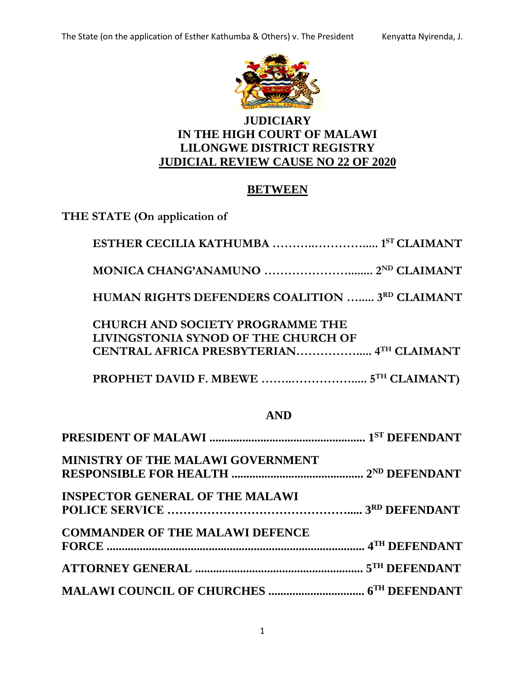

# **JUDICIARY IN THE HIGH COURT OF MALAWI LILONGWE DISTRICT REGISTRY JUDICIAL REVIEW CAUSE NO 22 OF 2020**

# **BETWEEN**

**THE STATE (On application of**

| HUMAN RIGHTS DEFENDERS COALITION  3RD CLAIMANT                                                                             |
|----------------------------------------------------------------------------------------------------------------------------|
| <b>CHURCH AND SOCIETY PROGRAMME THE</b><br>LIVINGSTONIA SYNOD OF THE CHURCH OF<br>CENTRAL AFRICA PRESBYTERIAN 4TH CLAIMANT |
|                                                                                                                            |

# **AND**

| MINISTRY OF THE MALAWI GOVERNMENT      |  |
|----------------------------------------|--|
|                                        |  |
| <b>INSPECTOR GENERAL OF THE MALAWI</b> |  |
|                                        |  |
| <b>COMMANDER OF THE MALAWI DEFENCE</b> |  |
|                                        |  |
|                                        |  |
|                                        |  |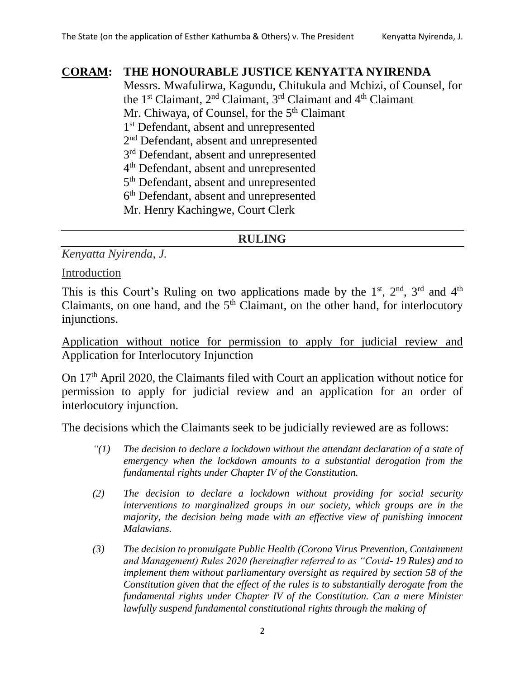## **CORAM: THE HONOURABLE JUSTICE KENYATTA NYIRENDA**

Messrs. Mwafulirwa, Kagundu, Chitukula and Mchizi, of Counsel, for the 1<sup>st</sup> Claimant, 2<sup>nd</sup> Claimant, 3<sup>rd</sup> Claimant and 4<sup>th</sup> Claimant Mr. Chiwaya, of Counsel, for the 5<sup>th</sup> Claimant

1 st Defendant, absent and unrepresented

2<sup>nd</sup> Defendant, absent and unrepresented

3<sup>rd</sup> Defendant, absent and unrepresented

4 th Defendant, absent and unrepresented

5<sup>th</sup> Defendant, absent and unrepresented

6 th Defendant, absent and unrepresented

Mr. Henry Kachingwe, Court Clerk

# **RULING**

*Kenyatta Nyirenda, J.*

Introduction

This is this Court's Ruling on two applications made by the  $1<sup>st</sup>$ ,  $2<sup>nd</sup>$ ,  $3<sup>rd</sup>$  and  $4<sup>th</sup>$ Claimants, on one hand, and the  $5<sup>th</sup>$  Claimant, on the other hand, for interlocutory injunctions.

Application without notice for permission to apply for judicial review and Application for Interlocutory Injunction

On 17th April 2020, the Claimants filed with Court an application without notice for permission to apply for judicial review and an application for an order of interlocutory injunction.

The decisions which the Claimants seek to be judicially reviewed are as follows:

- *"(1) The decision to declare a lockdown without the attendant declaration of a state of emergency when the lockdown amounts to a substantial derogation from the fundamental rights under Chapter IV of the Constitution.*
- *(2) The decision to declare a lockdown without providing for social security interventions to marginalized groups in our society, which groups are in the majority, the decision being made with an effective view of punishing innocent Malawians.*
- *(3) The decision to promulgate Public Health (Corona Virus Prevention, Containment and Management) Rules 2020 (hereinafter referred to as "Covid- 19 Rules) and to implement them without parliamentary oversight as required by section 58 of the Constitution given that the effect of the rules is to substantially derogate from the fundamental rights under Chapter IV of the Constitution. Can a mere Minister lawfully suspend fundamental constitutional rights through the making of*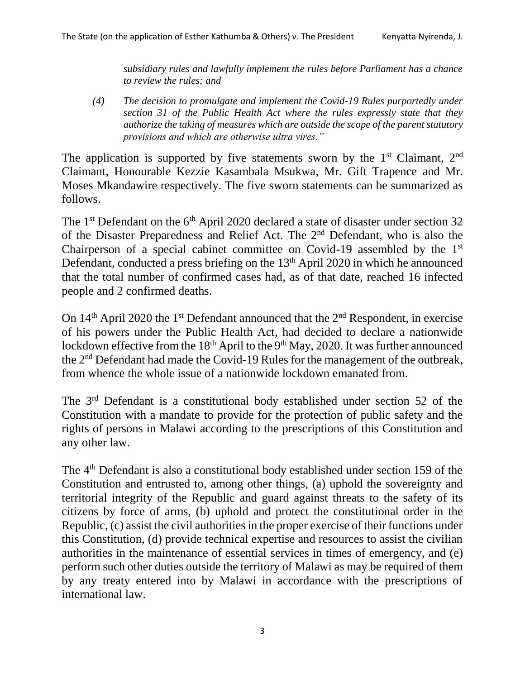*subsidiary rules and lawfully implement the rules before Parliament has a chance to review the rules; and*

*(4) The decision to promulgate and implement the Covid-19 Rules purportedly under section 31 of the Public Health Act where the rules expressly state that they authorize the taking of measures which are outside the scope of the parent statutory provisions and which are otherwise ultra vires."*

The application is supported by five statements sworn by the  $1<sup>st</sup>$  Claimant,  $2<sup>nd</sup>$ Claimant, Honourable Kezzie Kasambala Msukwa, Mr. Gift Trapence and Mr. Moses Mkandawire respectively. The five sworn statements can be summarized as follows.

The  $1<sup>st</sup>$  Defendant on the  $6<sup>th</sup>$  April 2020 declared a state of disaster under section 32 of the Disaster Preparedness and Relief Act. The 2nd Defendant, who is also the Chairperson of a special cabinet committee on Covid-19 assembled by the 1<sup>st</sup> Defendant, conducted a press briefing on the 13<sup>th</sup> April 2020 in which he announced that the total number of confirmed cases had, as of that date, reached 16 infected people and 2 confirmed deaths.

On 14<sup>th</sup> April 2020 the 1<sup>st</sup> Defendant announced that the 2<sup>nd</sup> Respondent, in exercise of his powers under the Public Health Act, had decided to declare a nationwide lockdown effective from the 18<sup>th</sup> April to the 9<sup>th</sup> May, 2020. It was further announced the 2nd Defendant had made the Covid-19 Rules for the management of the outbreak, from whence the whole issue of a nationwide lockdown emanated from.

The 3rd Defendant is a constitutional body established under section 52 of the Constitution with a mandate to provide for the protection of public safety and the rights of persons in Malawi according to the prescriptions of this Constitution and any other law.

The 4<sup>th</sup> Defendant is also a constitutional body established under section 159 of the Constitution and entrusted to, among other things, (a) uphold the sovereignty and territorial integrity of the Republic and guard against threats to the safety of its citizens by force of arms, (b) uphold and protect the constitutional order in the Republic, (c) assist the civil authorities in the proper exercise of their functions under this Constitution, (d) provide technical expertise and resources to assist the civilian authorities in the maintenance of essential services in times of emergency, and (e) perform such other duties outside the territory of Malawi as may be required of them by any treaty entered into by Malawi in accordance with the prescriptions of international law.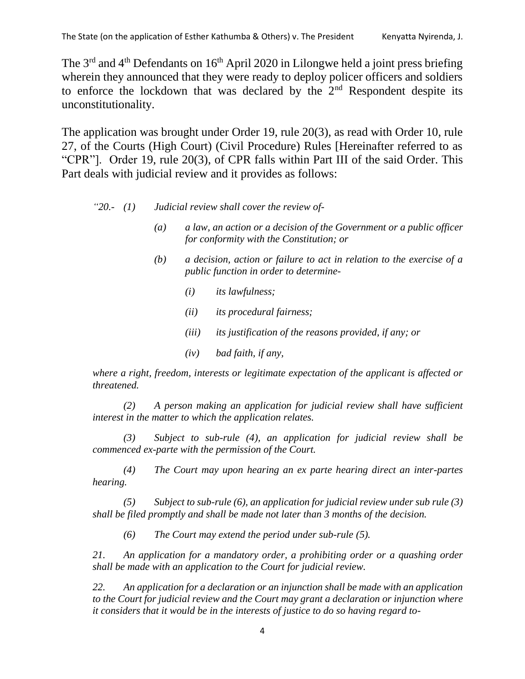The 3<sup>rd</sup> and 4<sup>th</sup> Defendants on 16<sup>th</sup> April 2020 in Lilongwe held a joint press briefing wherein they announced that they were ready to deploy policer officers and soldiers to enforce the lockdown that was declared by the  $2<sup>nd</sup>$  Respondent despite its unconstitutionality.

The application was brought under Order 19, rule 20(3), as read with Order 10, rule 27, of the Courts (High Court) (Civil Procedure) Rules [Hereinafter referred to as "CPR"]. Order 19, rule 20(3), of CPR falls within Part III of the said Order. This Part deals with judicial review and it provides as follows:

#### *"20.- (1) Judicial review shall cover the review of-*

- *(a) a law, an action or a decision of the Government or a public officer for conformity with the Constitution; or*
- *(b) a decision, action or failure to act in relation to the exercise of a public function in order to determine-*
	- *(i) its lawfulness;*
	- *(ii) its procedural fairness;*
	- *(iii) its justification of the reasons provided, if any; or*
	- *(iv) bad faith, if any,*

*where a right, freedom, interests or legitimate expectation of the applicant is affected or threatened.*

*(2) A person making an application for judicial review shall have sufficient interest in the matter to which the application relates.*

*(3) Subject to sub-rule (4), an application for judicial review shall be commenced ex-parte with the permission of the Court.*

*(4) The Court may upon hearing an ex parte hearing direct an inter-partes hearing.*

*(5) Subject to sub-rule (6), an application for judicial review under sub rule (3) shall be filed promptly and shall be made not later than 3 months of the decision.*

*(6) The Court may extend the period under sub-rule (5).*

*21. An application for a mandatory order, a prohibiting order or a quashing order shall be made with an application to the Court for judicial review.*

*22. An application for a declaration or an injunction shall be made with an application to the Court for judicial review and the Court may grant a declaration or injunction where it considers that it would be in the interests of justice to do so having regard to-*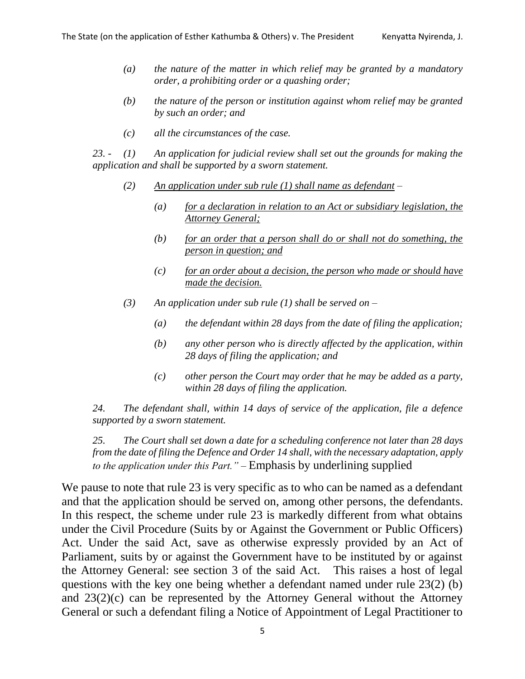- *(a) the nature of the matter in which relief may be granted by a mandatory order, a prohibiting order or a quashing order;*
- *(b) the nature of the person or institution against whom relief may be granted by such an order; and*
- *(c) all the circumstances of the case.*

*23. - (1) An application for judicial review shall set out the grounds for making the application and shall be supported by a sworn statement.*

- *(2) An application under sub rule (1) shall name as defendant –*
	- *(a) for a declaration in relation to an Act or subsidiary legislation, the Attorney General;*
	- *(b) for an order that a person shall do or shall not do something, the person in question; and*
	- *(c) for an order about a decision, the person who made or should have made the decision.*
- *(3) An application under sub rule (1) shall be served on –*
	- *(a) the defendant within 28 days from the date of filing the application;*
	- *(b) any other person who is directly affected by the application, within 28 days of filing the application; and*
	- *(c) other person the Court may order that he may be added as a party, within 28 days of filing the application.*

*24. The defendant shall, within 14 days of service of the application, file a defence supported by a sworn statement.*

*25. The Court shall set down a date for a scheduling conference not later than 28 days from the date of filing the Defence and Order 14 shall, with the necessary adaptation, apply to the application under this Part." –* Emphasis by underlining supplied

We pause to note that rule 23 is very specific as to who can be named as a defendant and that the application should be served on, among other persons, the defendants. In this respect, the scheme under rule 23 is markedly different from what obtains under the Civil Procedure (Suits by or Against the Government or Public Officers) Act. Under the said Act, save as otherwise expressly provided by an Act of Parliament, suits by or against the Government have to be instituted by or against the Attorney General: see section 3 of the said Act. This raises a host of legal questions with the key one being whether a defendant named under rule 23(2) (b) and 23(2)(c) can be represented by the Attorney General without the Attorney General or such a defendant filing a Notice of Appointment of Legal Practitioner to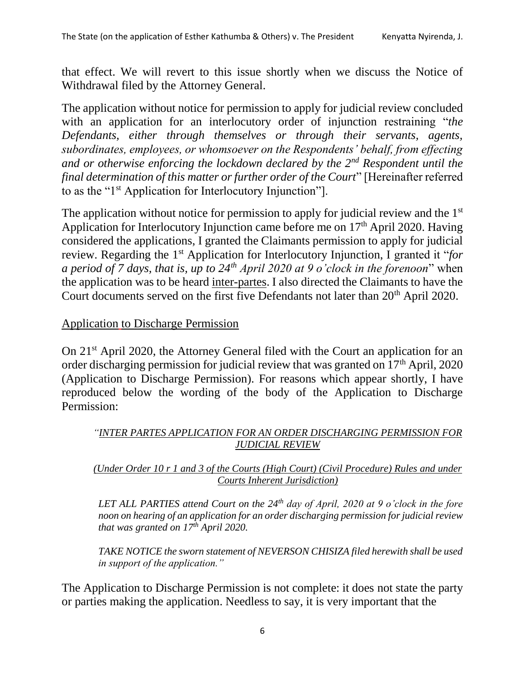that effect. We will revert to this issue shortly when we discuss the Notice of Withdrawal filed by the Attorney General.

The application without notice for permission to apply for judicial review concluded with an application for an interlocutory order of injunction restraining "*the Defendants, either through themselves or through their servants, agents, subordinates, employees, or whomsoever on the Respondents' behalf, from effecting and or otherwise enforcing the lockdown declared by the 2nd Respondent until the final determination of this matter or further order of the Court*" [Hereinafter referred to as the "1st Application for Interlocutory Injunction"].

The application without notice for permission to apply for judicial review and the 1<sup>st</sup> Application for Interlocutory Injunction came before me on 17<sup>th</sup> April 2020. Having considered the applications, I granted the Claimants permission to apply for judicial review. Regarding the 1st Application for Interlocutory Injunction, I granted it "*for a period of 7 days, that is, up to 24th April 2020 at 9 o'clock in the forenoon*" when the application was to be heard inter-partes. I also directed the Claimants to have the Court documents served on the first five Defendants not later than 20<sup>th</sup> April 2020.

# Application to Discharge Permission

On 21st April 2020, the Attorney General filed with the Court an application for an order discharging permission for judicial review that was granted on  $17<sup>th</sup>$  April, 2020 (Application to Discharge Permission). For reasons which appear shortly, I have reproduced below the wording of the body of the Application to Discharge Permission:

## *"INTER PARTES APPLICATION FOR AN ORDER DISCHARGING PERMISSION FOR JUDICIAL REVIEW*

### *(Under Order 10 r 1 and 3 of the Courts (High Court) (Civil Procedure) Rules and under Courts Inherent Jurisdiction)*

*LET ALL PARTIES attend Court on the 24th day of April, 2020 at 9 o'clock in the fore noon on hearing of an application for an order discharging permission for judicial review that was granted on 17th April 2020.*

*TAKE NOTICE the sworn statement of NEVERSON CHISIZA filed herewith shall be used in support of the application."*

The Application to Discharge Permission is not complete: it does not state the party or parties making the application. Needless to say, it is very important that the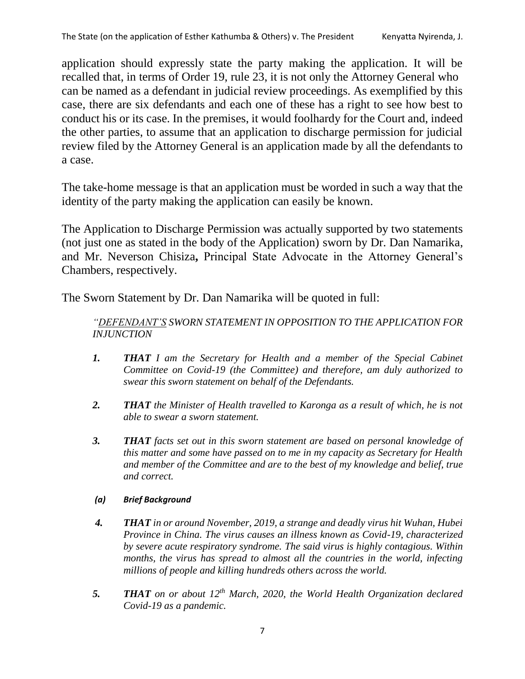application should expressly state the party making the application. It will be recalled that, in terms of Order 19, rule 23, it is not only the Attorney General who can be named as a defendant in judicial review proceedings. As exemplified by this case, there are six defendants and each one of these has a right to see how best to conduct his or its case. In the premises, it would foolhardy for the Court and, indeed the other parties, to assume that an application to discharge permission for judicial review filed by the Attorney General is an application made by all the defendants to a case.

The take-home message is that an application must be worded in such a way that the identity of the party making the application can easily be known.

The Application to Discharge Permission was actually supported by two statements (not just one as stated in the body of the Application) sworn by Dr. Dan Namarika, and Mr. Neverson Chisiza**,** Principal State Advocate in the Attorney General's Chambers, respectively.

The Sworn Statement by Dr. Dan Namarika will be quoted in full:

*"DEFENDANT'S SWORN STATEMENT IN OPPOSITION TO THE APPLICATION FOR INJUNCTION*

- *1. THAT I am the Secretary for Health and a member of the Special Cabinet Committee on Covid-19 (the Committee) and therefore, am duly authorized to swear this sworn statement on behalf of the Defendants.*
- *2. THAT the Minister of Health travelled to Karonga as a result of which, he is not able to swear a sworn statement.*
- *3. THAT facts set out in this sworn statement are based on personal knowledge of this matter and some have passed on to me in my capacity as Secretary for Health and member of the Committee and are to the best of my knowledge and belief, true and correct.*

### *(a) Brief Background*

- *4. THAT in or around November, 2019, a strange and deadly virus hit Wuhan, Hubei Province in China. The virus causes an illness known as Covid-19, characterized by severe acute respiratory syndrome. The said virus is highly contagious. Within months, the virus has spread to almost all the countries in the world, infecting millions of people and killing hundreds others across the world.*
- *5. THAT on or about 12th March, 2020, the World Health Organization declared Covid-19 as a pandemic.*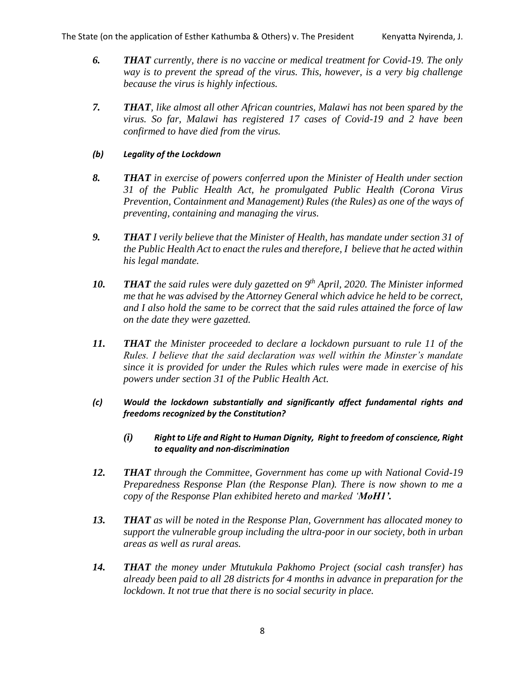- *6. THAT currently, there is no vaccine or medical treatment for Covid-19. The only way is to prevent the spread of the virus. This, however, is a very big challenge because the virus is highly infectious.*
- *7. THAT, like almost all other African countries, Malawi has not been spared by the virus. So far, Malawi has registered 17 cases of Covid-19 and 2 have been confirmed to have died from the virus.*

#### *(b) Legality of the Lockdown*

- *8. THAT in exercise of powers conferred upon the Minister of Health under section 31 of the Public Health Act, he promulgated Public Health (Corona Virus Prevention, Containment and Management) Rules (the Rules) as one of the ways of preventing, containing and managing the virus.*
- *9. THAT I verily believe that the Minister of Health, has mandate under section 31 of the Public Health Act to enact the rules and therefore, I believe that he acted within his legal mandate.*
- *10. THAT the said rules were duly gazetted on 9th April, 2020. The Minister informed me that he was advised by the Attorney General which advice he held to be correct, and I also hold the same to be correct that the said rules attained the force of law on the date they were gazetted.*
- *11. THAT the Minister proceeded to declare a lockdown pursuant to rule 11 of the Rules. I believe that the said declaration was well within the Minster's mandate since it is provided for under the Rules which rules were made in exercise of his powers under section 31 of the Public Health Act.*
- *(c) Would the lockdown substantially and significantly affect fundamental rights and freedoms recognized by the Constitution?*
	- *(i) Right to Life and Right to Human Dignity, Right to freedom of conscience, Right to equality and non-discrimination*
- *12. THAT through the Committee, Government has come up with National Covid-19 Preparedness Response Plan (the Response Plan). There is now shown to me a copy of the Response Plan exhibited hereto and marked 'MoH1'.*
- *13. THAT as will be noted in the Response Plan, Government has allocated money to support the vulnerable group including the ultra-poor in our society, both in urban areas as well as rural areas.*
- *14. THAT the money under Mtutukula Pakhomo Project (social cash transfer) has already been paid to all 28 districts for 4 months in advance in preparation for the lockdown. It not true that there is no social security in place.*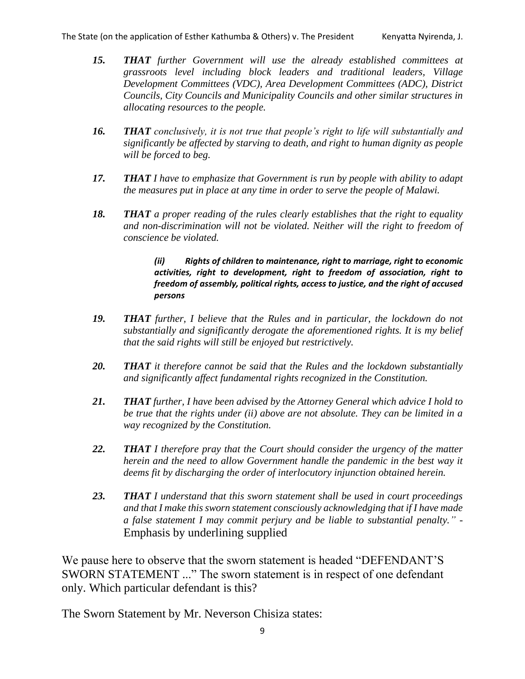- *15. THAT further Government will use the already established committees at grassroots level including block leaders and traditional leaders, Village Development Committees (VDC), Area Development Committees (ADC), District Councils, City Councils and Municipality Councils and other similar structures in allocating resources to the people.*
- *16. THAT conclusively, it is not true that people's right to life will substantially and significantly be affected by starving to death, and right to human dignity as people will be forced to beg.*
- *17. THAT I have to emphasize that Government is run by people with ability to adapt the measures put in place at any time in order to serve the people of Malawi.*
- *18. THAT a proper reading of the rules clearly establishes that the right to equality and non-discrimination will not be violated. Neither will the right to freedom of conscience be violated.*

#### *(ii) Rights of children to maintenance, right to marriage, right to economic activities, right to development, right to freedom of association, right to freedom of assembly, political rights, access to justice, and the right of accused persons*

- *19. THAT further, I believe that the Rules and in particular, the lockdown do not substantially and significantly derogate the aforementioned rights. It is my belief that the said rights will still be enjoyed but restrictively.*
- *20. THAT it therefore cannot be said that the Rules and the lockdown substantially and significantly affect fundamental rights recognized in the Constitution.*
- *21. THAT further, I have been advised by the Attorney General which advice I hold to be true that the rights under (ii) above are not absolute. They can be limited in a way recognized by the Constitution.*
- *22. THAT I therefore pray that the Court should consider the urgency of the matter herein and the need to allow Government handle the pandemic in the best way it deems fit by discharging the order of interlocutory injunction obtained herein.*
- *23. THAT I understand that this sworn statement shall be used in court proceedings and that I make this sworn statement consciously acknowledging that if I have made a false statement I may commit perjury and be liable to substantial penalty." -* Emphasis by underlining supplied

We pause here to observe that the sworn statement is headed "DEFENDANT'S SWORN STATEMENT ..." The sworn statement is in respect of one defendant only. Which particular defendant is this?

The Sworn Statement by Mr. Neverson Chisiza states: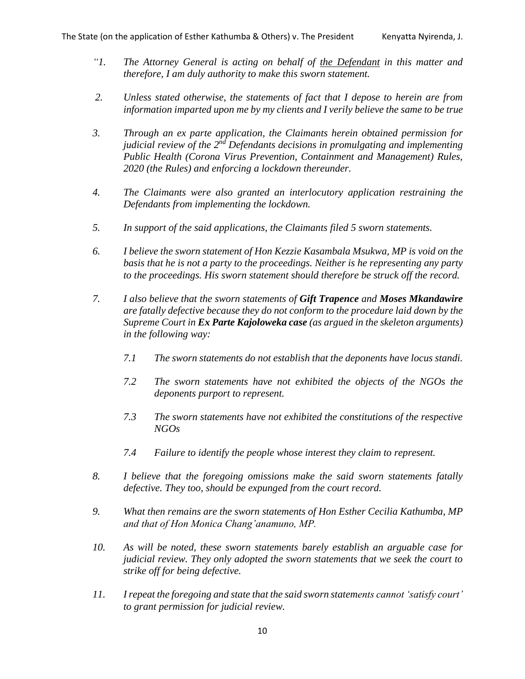- *"1. The Attorney General is acting on behalf of the Defendant in this matter and therefore, I am duly authority to make this sworn statement.*
- *2. Unless stated otherwise, the statements of fact that I depose to herein are from information imparted upon me by my clients and I verily believe the same to be true*
- *3. Through an ex parte application, the Claimants herein obtained permission for judicial review of the 2nd Defendants decisions in promulgating and implementing Public Health (Corona Virus Prevention, Containment and Management) Rules, 2020 (the Rules) and enforcing a lockdown thereunder.*
- *4. The Claimants were also granted an interlocutory application restraining the Defendants from implementing the lockdown.*
- *5. In support of the said applications, the Claimants filed 5 sworn statements.*
- *6. I believe the sworn statement of Hon Kezzie Kasambala Msukwa, MP is void on the basis that he is not a party to the proceedings. Neither is he representing any party to the proceedings. His sworn statement should therefore be struck off the record.*
- *7. I also believe that the sworn statements of Gift Trapence and Moses Mkandawire are fatally defective because they do not conform to the procedure laid down by the Supreme Court in Ex Parte Kajoloweka case (as argued in the skeleton arguments) in the following way:*
	- *7.1 The sworn statements do not establish that the deponents have locus standi.*
	- *7.2 The sworn statements have not exhibited the objects of the NGOs the deponents purport to represent.*
	- *7.3 The sworn statements have not exhibited the constitutions of the respective NGOs*
	- *7.4 Failure to identify the people whose interest they claim to represent.*
- *8. I believe that the foregoing omissions make the said sworn statements fatally defective. They too, should be expunged from the court record.*
- *9. What then remains are the sworn statements of Hon Esther Cecilia Kathumba, MP and that of Hon Monica Chang'anamuno, MP.*
- *10. As will be noted, these sworn statements barely establish an arguable case for judicial review. They only adopted the sworn statements that we seek the court to strike off for being defective.*
- *11. I repeat the foregoing and state that the said sworn statements cannot 'satisfy court' to grant permission for judicial review.*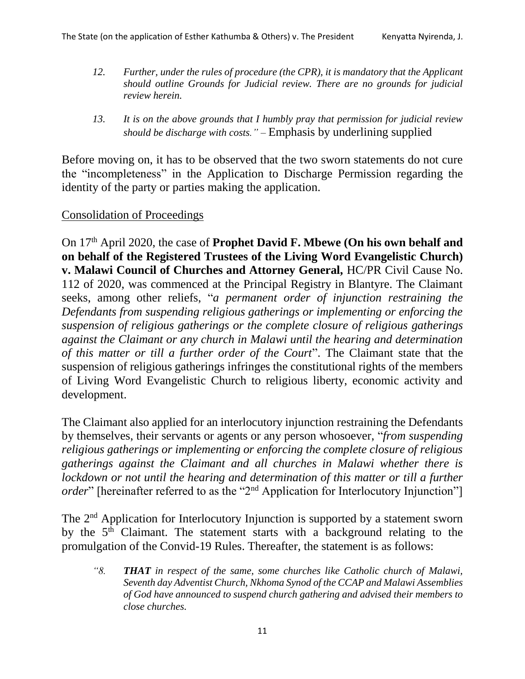- *12. Further, under the rules of procedure (the CPR), it is mandatory that the Applicant should outline Grounds for Judicial review. There are no grounds for judicial review herein.*
- *13. It is on the above grounds that I humbly pray that permission for judicial review should be discharge with costs." –* Emphasis by underlining supplied

Before moving on, it has to be observed that the two sworn statements do not cure the "incompleteness" in the Application to Discharge Permission regarding the identity of the party or parties making the application.

## Consolidation of Proceedings

On 17th April 2020, the case of **Prophet David F. Mbewe (On his own behalf and on behalf of the Registered Trustees of the Living Word Evangelistic Church) v. Malawi Council of Churches and Attorney General,** HC/PR Civil Cause No. 112 of 2020, was commenced at the Principal Registry in Blantyre. The Claimant seeks, among other reliefs, "*a permanent order of injunction restraining the Defendants from suspending religious gatherings or implementing or enforcing the suspension of religious gatherings or the complete closure of religious gatherings against the Claimant or any church in Malawi until the hearing and determination of this matter or till a further order of the Court*". The Claimant state that the suspension of religious gatherings infringes the constitutional rights of the members of Living Word Evangelistic Church to religious liberty, economic activity and development.

The Claimant also applied for an interlocutory injunction restraining the Defendants by themselves, their servants or agents or any person whosoever, "*from suspending religious gatherings or implementing or enforcing the complete closure of religious gatherings against the Claimant and all churches in Malawi whether there is lockdown or not until the hearing and determination of this matter or till a further order*" [hereinafter referred to as the "2<sup>nd</sup> Application for Interlocutory Injunction"]

The 2<sup>nd</sup> Application for Interlocutory Injunction is supported by a statement sworn by the 5<sup>th</sup> Claimant. The statement starts with a background relating to the promulgation of the Convid-19 Rules. Thereafter, the statement is as follows:

*"8. THAT in respect of the same, some churches like Catholic church of Malawi, Seventh day Adventist Church, Nkhoma Synod of the CCAP and Malawi Assemblies of God have announced to suspend church gathering and advised their members to close churches.*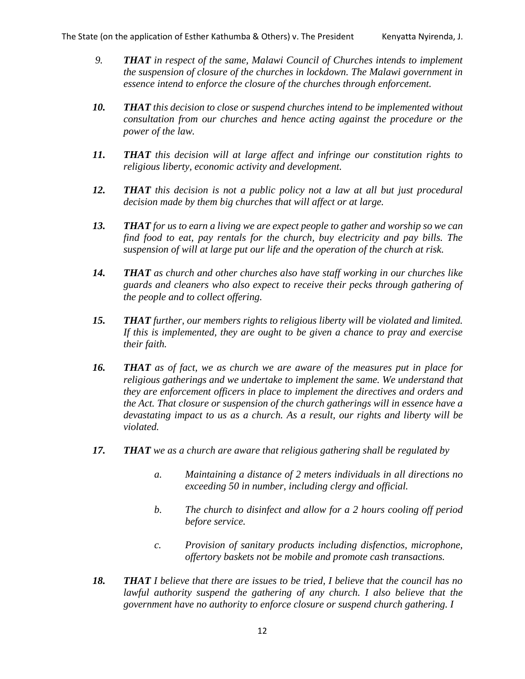- *9. THAT in respect of the same, Malawi Council of Churches intends to implement the suspension of closure of the churches in lockdown. The Malawi government in essence intend to enforce the closure of the churches through enforcement.*
- *10. THAT this decision to close or suspend churches intend to be implemented without consultation from our churches and hence acting against the procedure or the power of the law.*
- *11. THAT this decision will at large affect and infringe our constitution rights to religious liberty, economic activity and development.*
- *12. THAT this decision is not a public policy not a law at all but just procedural decision made by them big churches that will affect or at large.*
- *13. THAT for us to earn a living we are expect people to gather and worship so we can find food to eat, pay rentals for the church, buy electricity and pay bills. The suspension of will at large put our life and the operation of the church at risk.*
- *14. THAT as church and other churches also have staff working in our churches like guards and cleaners who also expect to receive their pecks through gathering of the people and to collect offering.*
- *15. THAT further, our members rights to religious liberty will be violated and limited. If this is implemented, they are ought to be given a chance to pray and exercise their faith.*
- *16. THAT as of fact, we as church we are aware of the measures put in place for religious gatherings and we undertake to implement the same. We understand that they are enforcement officers in place to implement the directives and orders and the Act. That closure or suspension of the church gatherings will in essence have a devastating impact to us as a church. As a result, our rights and liberty will be violated.*
- *17. THAT we as a church are aware that religious gathering shall be regulated by*
	- *a. Maintaining a distance of 2 meters individuals in all directions no exceeding 50 in number, including clergy and official.*
	- *b. The church to disinfect and allow for a 2 hours cooling off period before service.*
	- *c. Provision of sanitary products including disfenctios, microphone, offertory baskets not be mobile and promote cash transactions.*
- *18. THAT I believe that there are issues to be tried, I believe that the council has no lawful authority suspend the gathering of any church. I also believe that the government have no authority to enforce closure or suspend church gathering. I*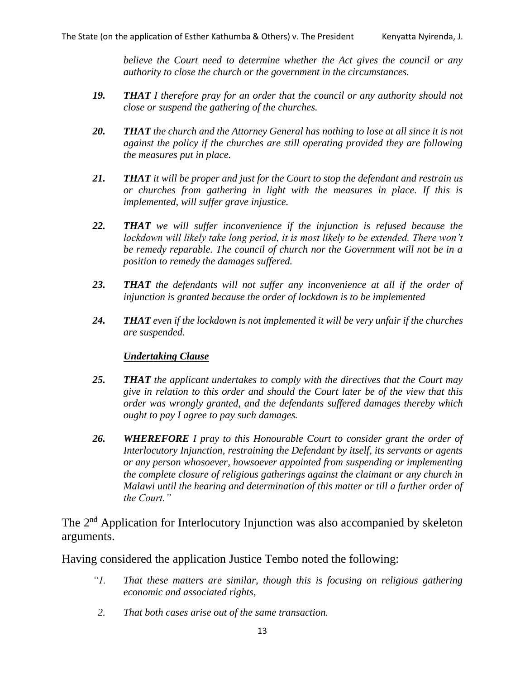*believe the Court need to determine whether the Act gives the council or any authority to close the church or the government in the circumstances.*

- *19. THAT I therefore pray for an order that the council or any authority should not close or suspend the gathering of the churches.*
- *20. THAT the church and the Attorney General has nothing to lose at all since it is not against the policy if the churches are still operating provided they are following the measures put in place.*
- *21. THAT it will be proper and just for the Court to stop the defendant and restrain us or churches from gathering in light with the measures in place. If this is implemented, will suffer grave injustice.*
- *22. THAT we will suffer inconvenience if the injunction is refused because the lockdown will likely take long period, it is most likely to be extended. There won't be remedy reparable. The council of church nor the Government will not be in a position to remedy the damages suffered.*
- *23. THAT the defendants will not suffer any inconvenience at all if the order of injunction is granted because the order of lockdown is to be implemented*
- *24. THAT even if the lockdown is not implemented it will be very unfair if the churches are suspended.*

#### *Undertaking Clause*

- *25. THAT the applicant undertakes to comply with the directives that the Court may give in relation to this order and should the Court later be of the view that this order was wrongly granted, and the defendants suffered damages thereby which ought to pay I agree to pay such damages.*
- *26. WHEREFORE I pray to this Honourable Court to consider grant the order of Interlocutory Injunction, restraining the Defendant by itself, its servants or agents or any person whosoever, howsoever appointed from suspending or implementing the complete closure of religious gatherings against the claimant or any church in Malawi until the hearing and determination of this matter or till a further order of the Court."*

The 2<sup>nd</sup> Application for Interlocutory Injunction was also accompanied by skeleton arguments.

Having considered the application Justice Tembo noted the following:

- *"1. That these matters are similar, though this is focusing on religious gathering economic and associated rights,*
- *2. That both cases arise out of the same transaction.*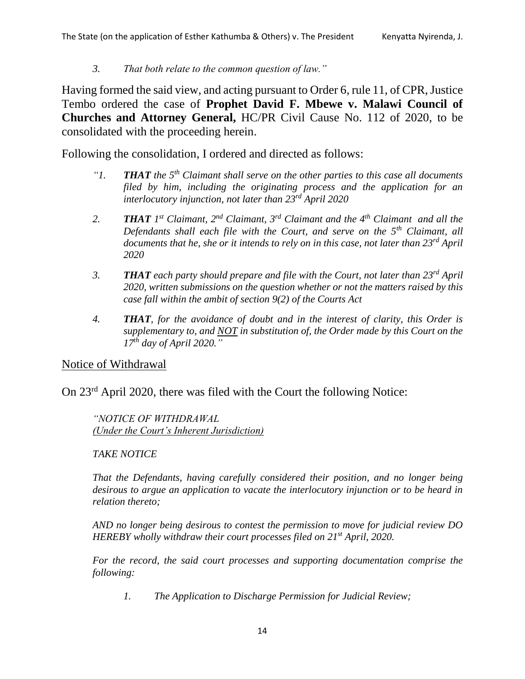*3. That both relate to the common question of law."*

Having formed the said view, and acting pursuant to Order 6, rule 11, of CPR, Justice Tembo ordered the case of **Prophet David F. Mbewe v. Malawi Council of Churches and Attorney General,** HC/PR Civil Cause No. 112 of 2020, to be consolidated with the proceeding herein.

Following the consolidation, I ordered and directed as follows:

- *"1. THAT the 5th Claimant shall serve on the other parties to this case all documents filed by him, including the originating process and the application for an interlocutory injunction, not later than 23rd April 2020*
- *2. THAT 1 st Claimant, 2nd Claimant, 3rd Claimant and the 4th Claimant and all the Defendants shall each file with the Court, and serve on the 5th Claimant, all documents that he, she or it intends to rely on in this case, not later than 23rd April 2020*
- *3. THAT each party should prepare and file with the Court, not later than 23rd April 2020, written submissions on the question whether or not the matters raised by this case fall within the ambit of section 9(2) of the Courts Act*
- *4. THAT, for the avoidance of doubt and in the interest of clarity, this Order is supplementary to, and NOT in substitution of, the Order made by this Court on the 17th day of April 2020."*

# Notice of Withdrawal

On 23rd April 2020, there was filed with the Court the following Notice:

*"NOTICE OF WITHDRAWAL (Under the Court's Inherent Jurisdiction)*

# *TAKE NOTICE*

*That the Defendants, having carefully considered their position, and no longer being desirous to argue an application to vacate the interlocutory injunction or to be heard in relation thereto;*

*AND no longer being desirous to contest the permission to move for judicial review DO HEREBY wholly withdraw their court processes filed on 21st April, 2020.*

*For the record, the said court processes and supporting documentation comprise the following:*

*1. The Application to Discharge Permission for Judicial Review;*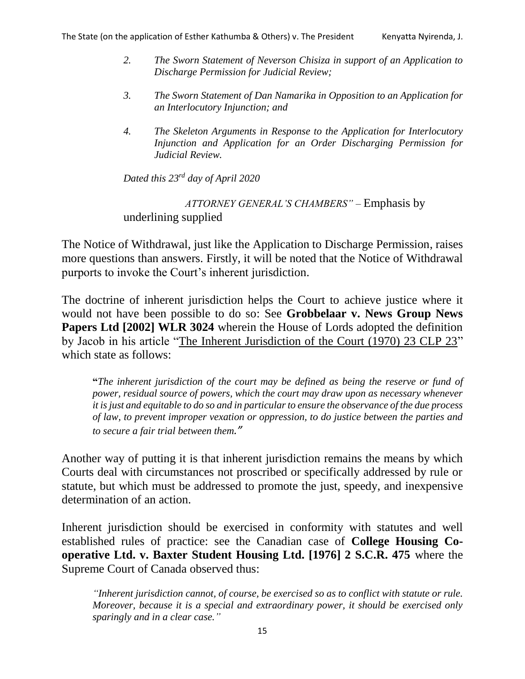- *2. The Sworn Statement of Neverson Chisiza in support of an Application to Discharge Permission for Judicial Review;*
- *3. The Sworn Statement of Dan Namarika in Opposition to an Application for an Interlocutory Injunction; and*
- *4. The Skeleton Arguments in Response to the Application for Interlocutory Injunction and Application for an Order Discharging Permission for Judicial Review.*

*Dated this 23rd day of April 2020*

*ATTORNEY GENERAL'S CHAMBERS" –* Emphasis by underlining supplied

The Notice of Withdrawal, just like the Application to Discharge Permission, raises more questions than answers. Firstly, it will be noted that the Notice of Withdrawal purports to invoke the Court's inherent jurisdiction.

The doctrine of inherent jurisdiction helps the Court to achieve justice where it would not have been possible to do so: See **Grobbelaar v. News Group News Papers Ltd [2002] WLR 3024** wherein the House of Lords adopted the definition by Jacob in his article "The Inherent Jurisdiction of the Court (1970) 23 CLP 23" which state as follows:

**"***The inherent jurisdiction of the court may be defined as being the reserve or fund of power, residual source of powers, which the court may draw upon as necessary whenever it is just and equitable to do so and in particular to ensure the observance of the due process of law, to prevent improper vexation or oppression, to do justice between the parties and to secure a fair trial between them."*

Another way of putting it is that inherent jurisdiction remains the means by which Courts deal with circumstances not proscribed or specifically addressed by rule or statute, but which must be addressed to promote the just, speedy, and inexpensive determination of an action.

Inherent jurisdiction should be exercised in conformity with statutes and well established rules of practice: see the Canadian case of **College Housing Cooperative Ltd. v. Baxter Student Housing Ltd. [1976] 2 S.C.R. 475** where the Supreme Court of Canada observed thus:

*"Inherent jurisdiction cannot, of course, be exercised so as to conflict with statute or rule. Moreover, because it is a special and extraordinary power, it should be exercised only sparingly and in a clear case."*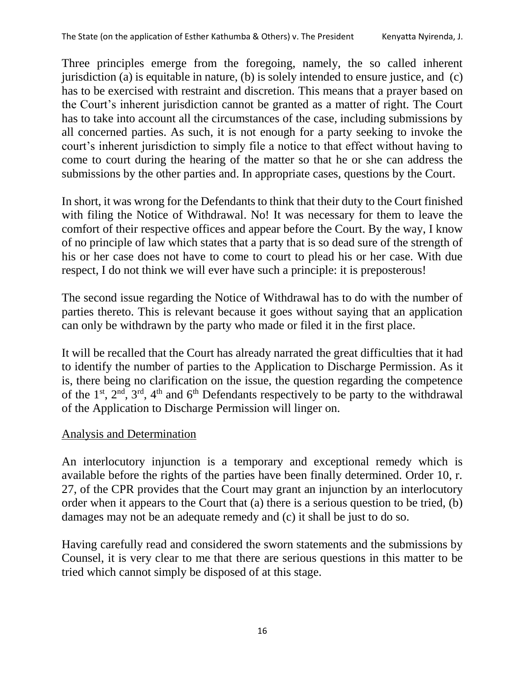Three principles emerge from the foregoing, namely, the so called inherent jurisdiction (a) is equitable in nature, (b) is solely intended to ensure justice, and (c) has to be exercised with restraint and discretion. This means that a prayer based on the Court's inherent jurisdiction cannot be granted as a matter of right. The Court has to take into account all the circumstances of the case, including submissions by all concerned parties. As such, it is not enough for a party seeking to invoke the court's inherent jurisdiction to simply file a notice to that effect without having to come to court during the hearing of the matter so that he or she can address the submissions by the other parties and. In appropriate cases, questions by the Court.

In short, it was wrong for the Defendants to think that their duty to the Court finished with filing the Notice of Withdrawal. No! It was necessary for them to leave the comfort of their respective offices and appear before the Court. By the way, I know of no principle of law which states that a party that is so dead sure of the strength of his or her case does not have to come to court to plead his or her case. With due respect, I do not think we will ever have such a principle: it is preposterous!

The second issue regarding the Notice of Withdrawal has to do with the number of parties thereto. This is relevant because it goes without saying that an application can only be withdrawn by the party who made or filed it in the first place.

It will be recalled that the Court has already narrated the great difficulties that it had to identify the number of parties to the Application to Discharge Permission. As it is, there being no clarification on the issue, the question regarding the competence of the  $1<sup>st</sup>$ ,  $2<sup>nd</sup>$ ,  $3<sup>rd</sup>$ ,  $4<sup>th</sup>$  and  $6<sup>th</sup>$  Defendants respectively to be party to the withdrawal of the Application to Discharge Permission will linger on.

# Analysis and Determination

An interlocutory injunction is a temporary and exceptional remedy which is available before the rights of the parties have been finally determined. Order 10, r. 27, of the CPR provides that the Court may grant an injunction by an interlocutory order when it appears to the Court that (a) there is a serious question to be tried, (b) damages may not be an adequate remedy and (c) it shall be just to do so.

Having carefully read and considered the sworn statements and the submissions by Counsel, it is very clear to me that there are serious questions in this matter to be tried which cannot simply be disposed of at this stage.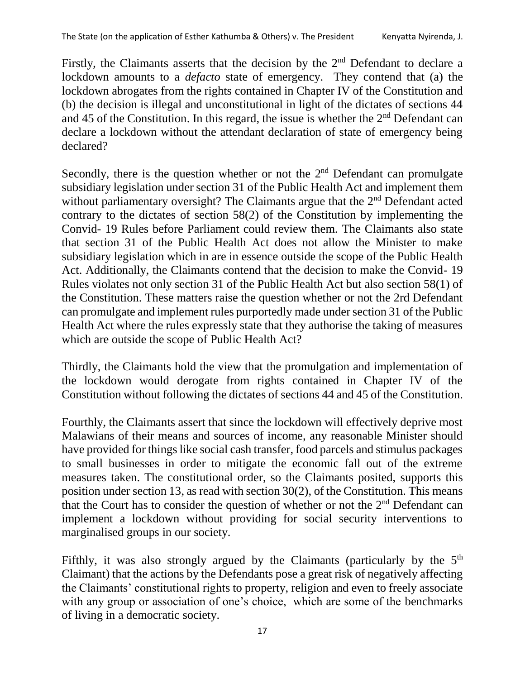Firstly, the Claimants asserts that the decision by the  $2<sup>nd</sup>$  Defendant to declare a lockdown amounts to a *defacto* state of emergency. They contend that (a) the lockdown abrogates from the rights contained in Chapter IV of the Constitution and (b) the decision is illegal and unconstitutional in light of the dictates of sections 44 and 45 of the Constitution. In this regard, the issue is whether the  $2<sup>nd</sup>$  Defendant can declare a lockdown without the attendant declaration of state of emergency being declared?

Secondly, there is the question whether or not the  $2<sup>nd</sup>$  Defendant can promulgate subsidiary legislation under section 31 of the Public Health Act and implement them without parliamentary oversight? The Claimants argue that the  $2<sup>nd</sup>$  Defendant acted contrary to the dictates of section 58(2) of the Constitution by implementing the Convid- 19 Rules before Parliament could review them. The Claimants also state that section 31 of the Public Health Act does not allow the Minister to make subsidiary legislation which in are in essence outside the scope of the Public Health Act. Additionally, the Claimants contend that the decision to make the Convid- 19 Rules violates not only section 31 of the Public Health Act but also section 58(1) of the Constitution. These matters raise the question whether or not the 2rd Defendant can promulgate and implement rules purportedly made under section 31 of the Public Health Act where the rules expressly state that they authorise the taking of measures which are outside the scope of Public Health Act?

Thirdly, the Claimants hold the view that the promulgation and implementation of the lockdown would derogate from rights contained in Chapter IV of the Constitution without following the dictates of sections 44 and 45 of the Constitution.

Fourthly, the Claimants assert that since the lockdown will effectively deprive most Malawians of their means and sources of income, any reasonable Minister should have provided for things like social cash transfer, food parcels and stimulus packages to small businesses in order to mitigate the economic fall out of the extreme measures taken. The constitutional order, so the Claimants posited, supports this position under section 13, as read with section 30(2), of the Constitution. This means that the Court has to consider the question of whether or not the  $2<sup>nd</sup>$  Defendant can implement a lockdown without providing for social security interventions to marginalised groups in our society.

Fifthly, it was also strongly argued by the Claimants (particularly by the  $5<sup>th</sup>$ Claimant) that the actions by the Defendants pose a great risk of negatively affecting the Claimants' constitutional rights to property, religion and even to freely associate with any group or association of one's choice, which are some of the benchmarks of living in a democratic society.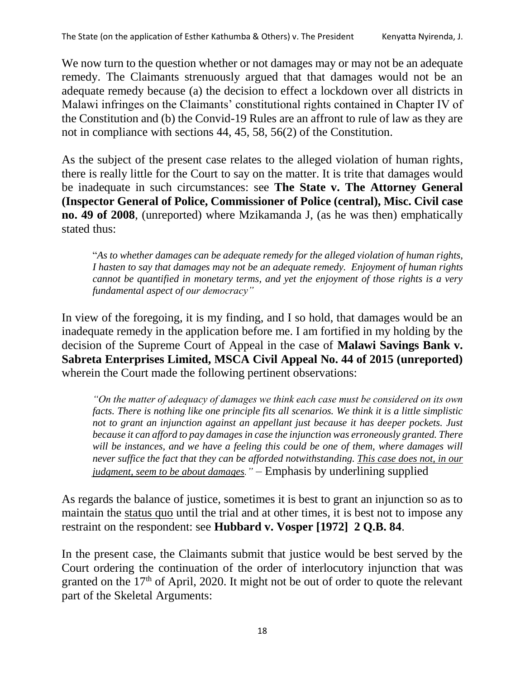We now turn to the question whether or not damages may or may not be an adequate remedy. The Claimants strenuously argued that that damages would not be an adequate remedy because (a) the decision to effect a lockdown over all districts in Malawi infringes on the Claimants' constitutional rights contained in Chapter IV of the Constitution and (b) the Convid-19 Rules are an affront to rule of law as they are not in compliance with sections 44, 45, 58, 56(2) of the Constitution.

As the subject of the present case relates to the alleged violation of human rights, there is really little for the Court to say on the matter. It is trite that damages would be inadequate in such circumstances: see **The State v. The Attorney General (Inspector General of Police, Commissioner of Police (central), Misc. Civil case no. 49 of 2008**, (unreported) where Mzikamanda J, (as he was then) emphatically stated thus:

"*As to whether damages can be adequate remedy for the alleged violation of human rights, I hasten to say that damages may not be an adequate remedy. Enjoyment of human rights cannot be quantified in monetary terms, and yet the enjoyment of those rights is a very fundamental aspect of our democracy"* 

In view of the foregoing, it is my finding, and I so hold, that damages would be an inadequate remedy in the application before me. I am fortified in my holding by the decision of the Supreme Court of Appeal in the case of **Malawi Savings Bank v. Sabreta Enterprises Limited, MSCA Civil Appeal No. 44 of 2015 (unreported)** wherein the Court made the following pertinent observations:

*"On the matter of adequacy of damages we think each case must be considered on its own facts. There is nothing like one principle fits all scenarios. We think it is a little simplistic not to grant an injunction against an appellant just because it has deeper pockets. Just because it can afford to pay damages in case the injunction was erroneously granted. There*  will be instances, and we have a feeling this could be one of them, where damages will *never suffice the fact that they can be afforded notwithstanding. This case does not, in our judgment, seem to be about damages." –* Emphasis by underlining supplied

As regards the balance of justice, sometimes it is best to grant an injunction so as to maintain the status quo until the trial and at other times, it is best not to impose any restraint on the respondent: see **Hubbard v. Vosper [1972] 2 Q.B. 84**.

In the present case, the Claimants submit that justice would be best served by the Court ordering the continuation of the order of interlocutory injunction that was granted on the  $17<sup>th</sup>$  of April, 2020. It might not be out of order to quote the relevant part of the Skeletal Arguments: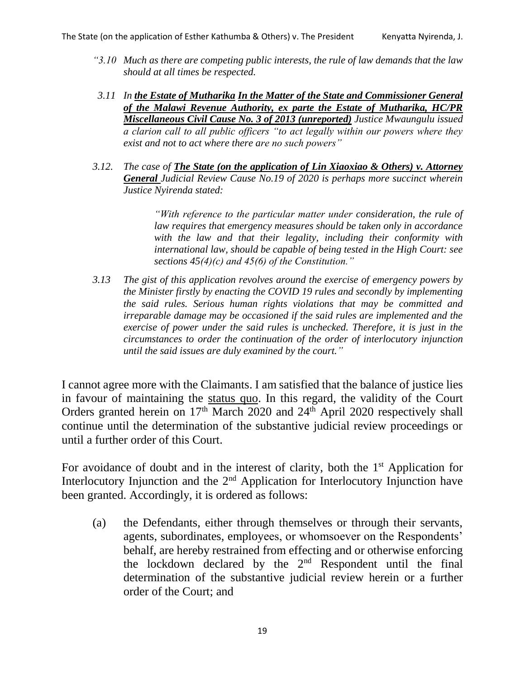- *"3.10 Much as there are competing public interests, the rule of law demands that the law should at all times be respected.*
- *3.11 In the Estate of Mutharika In the Matter of the State and Commissioner General of the Malawi Revenue Authority, ex parte the Estate of Mutharika, HC/PR Miscellaneous Civil Cause No. 3 of 2013 (unreported) Justice Mwaungulu issued a clarion call to all public officers "to act legally within our powers where they exist and not to act where there are no such powers"*
- *3.12. The case of The State (on the application of Lin Xiaoxiao & Others) v. Attorney General Judicial Review Cause No.19 of 2020 is perhaps more succinct wherein Justice Nyirenda stated:*

*"With reference to the particular matter under consideration, the rule of law requires that emergency measures should be taken only in accordance with the law and that their legality, including their conformity with international law, should be capable of being tested in the High Court: see sections 45(4)(c) and 45(6) of the Constitution."*

*3.13 The gist of this application revolves around the exercise of emergency powers by the Minister firstly by enacting the COVID 19 rules and secondly by implementing the said rules. Serious human rights violations that may be committed and irreparable damage may be occasioned if the said rules are implemented and the exercise of power under the said rules is unchecked. Therefore, it is just in the circumstances to order the continuation of the order of interlocutory injunction until the said issues are duly examined by the court."*

I cannot agree more with the Claimants. I am satisfied that the balance of justice lies in favour of maintaining the status quo. In this regard, the validity of the Court Orders granted herein on  $17<sup>th</sup>$  March 2020 and  $24<sup>th</sup>$  April 2020 respectively shall continue until the determination of the substantive judicial review proceedings or until a further order of this Court.

For avoidance of doubt and in the interest of clarity, both the  $1<sup>st</sup>$  Application for Interlocutory Injunction and the  $2<sup>nd</sup>$  Application for Interlocutory Injunction have been granted. Accordingly, it is ordered as follows:

(a) the Defendants, either through themselves or through their servants, agents, subordinates, employees, or whomsoever on the Respondents' behalf, are hereby restrained from effecting and or otherwise enforcing the lockdown declared by the 2nd Respondent until the final determination of the substantive judicial review herein or a further order of the Court; and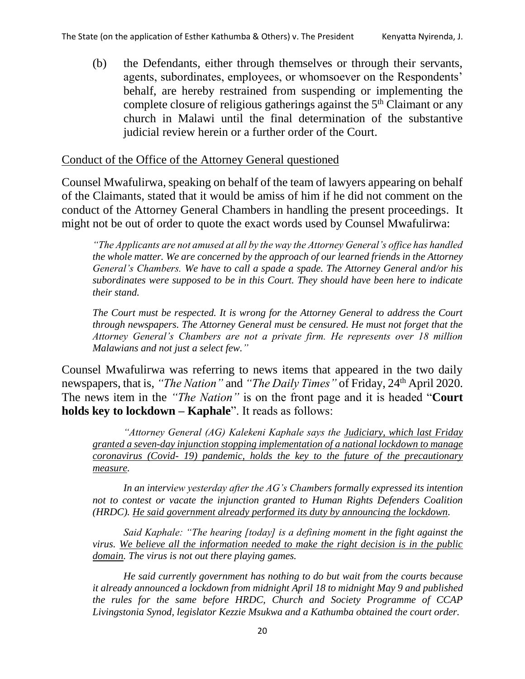(b) the Defendants, either through themselves or through their servants, agents, subordinates, employees, or whomsoever on the Respondents' behalf, are hereby restrained from suspending or implementing the complete closure of religious gatherings against the 5<sup>th</sup> Claimant or any church in Malawi until the final determination of the substantive judicial review herein or a further order of the Court.

## Conduct of the Office of the Attorney General questioned

Counsel Mwafulirwa, speaking on behalf of the team of lawyers appearing on behalf of the Claimants, stated that it would be amiss of him if he did not comment on the conduct of the Attorney General Chambers in handling the present proceedings. It might not be out of order to quote the exact words used by Counsel Mwafulirwa:

*"The Applicants are not amused at all by the way the Attorney General's office has handled the whole matter. We are concerned by the approach of our learned friends in the Attorney General's Chambers. We have to call a spade a spade. The Attorney General and/or his subordinates were supposed to be in this Court. They should have been here to indicate their stand.* 

*The Court must be respected. It is wrong for the Attorney General to address the Court through newspapers. The Attorney General must be censured. He must not forget that the Attorney General's Chambers are not a private firm. He represents over 18 million Malawians and not just a select few."*

Counsel Mwafulirwa was referring to news items that appeared in the two daily newspapers, that is, "The Nation" and "The Daily Times" of Friday, 24<sup>th</sup> April 2020. The news item in the *"The Nation"* is on the front page and it is headed "**Court holds key to lockdown – Kaphale**". It reads as follows:

*"Attorney General (AG) Kalekeni Kaphale says the Judiciary, which last Friday granted a seven-day injunction stopping implementation of a national lockdown to manage coronavirus (Covid- 19) pandemic, holds the key to the future of the precautionary measure.*

*In an interview yesterday after the AG's Chambers formally expressed its intention*  not to contest or vacate the injunction granted to Human Rights Defenders Coalition *(HRDC). He said government already performed its duty by announcing the lockdown.* 

*Said Kaphale: "The hearing [today] is a defining moment in the fight against the virus. We believe all the information needed to make the right decision is in the public domain. The virus is not out there playing games.* 

*He said currently government has nothing to do but wait from the courts because it already announced a lockdown from midnight April 18 to midnight May 9 and published the rules for the same before HRDC, Church and Society Programme of CCAP Livingstonia Synod, legislator Kezzie Msukwa and a Kathumba obtained the court order.*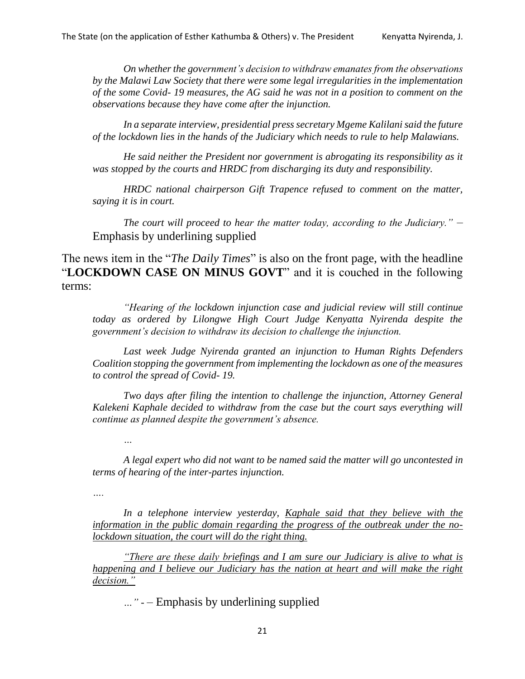*On whether the government's decision to withdraw emanates from the observations by the Malawi Law Society that there were some legal irregularities in the implementation of the some Covid- 19 measures, the AG said he was not in a position to comment on the observations because they have come after the injunction.*

*In a separate interview, presidential press secretary Mgeme Kalilani said the future of the lockdown lies in the hands of the Judiciary which needs to rule to help Malawians.* 

*He said neither the President nor government is abrogating its responsibility as it was stopped by the courts and HRDC from discharging its duty and responsibility.*

*HRDC national chairperson Gift Trapence refused to comment on the matter, saying it is in court.*

*The court will proceed to hear the matter today, according to the Judiciary."* – Emphasis by underlining supplied

The news item in the "*The Daily Times*" is also on the front page, with the headline "**LOCKDOWN CASE ON MINUS GOVT**" and it is couched in the following terms:

*"Hearing of the lockdown injunction case and judicial review will still continue today as ordered by Lilongwe High Court Judge Kenyatta Nyirenda despite the government's decision to withdraw its decision to challenge the injunction.*

*Last week Judge Nyirenda granted an injunction to Human Rights Defenders Coalition stopping the government from implementing the lockdown as one of the measures to control the spread of Covid- 19.*

*Two days after filing the intention to challenge the injunction, Attorney General Kalekeni Kaphale decided to withdraw from the case but the court says everything will continue as planned despite the government's absence.*

*…*

*A legal expert who did not want to be named said the matter will go uncontested in terms of hearing of the inter-partes injunction.*

*….*

*In a telephone interview yesterday, Kaphale said that they believe with the information in the public domain regarding the progress of the outbreak under the nolockdown situation, the court will do the right thing.*

*"There are these daily briefings and I am sure our Judiciary is alive to what is happening and I believe our Judiciary has the nation at heart and will make the right decision."*

*…" -* – Emphasis by underlining supplied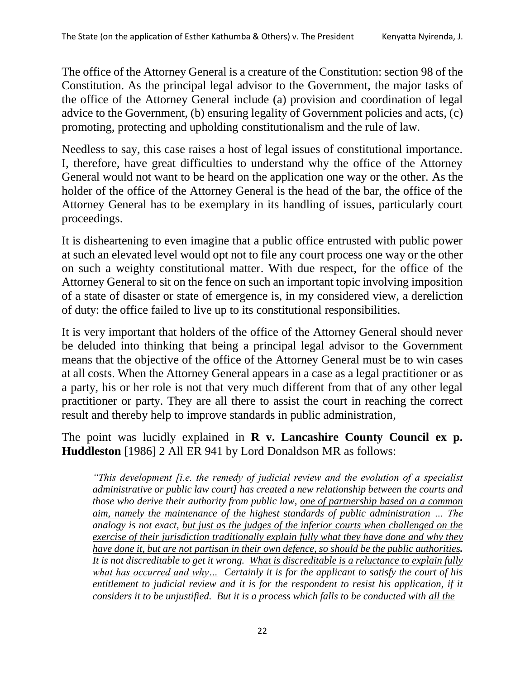The office of the Attorney General is a creature of the Constitution: section 98 of the Constitution. As the principal legal advisor to the Government, the major tasks of the office of the Attorney General include (a) provision and coordination of legal advice to the Government, (b) ensuring legality of Government policies and acts, (c) promoting, protecting and upholding constitutionalism and the rule of law.

Needless to say, this case raises a host of legal issues of constitutional importance. I, therefore, have great difficulties to understand why the office of the Attorney General would not want to be heard on the application one way or the other. As the holder of the office of the Attorney General is the head of the bar, the office of the Attorney General has to be exemplary in its handling of issues, particularly court proceedings.

It is disheartening to even imagine that a public office entrusted with public power at such an elevated level would opt not to file any court process one way or the other on such a weighty constitutional matter. With due respect, for the office of the Attorney General to sit on the fence on such an important topic involving imposition of a state of disaster or state of emergence is, in my considered view, a dereliction of duty: the office failed to live up to its constitutional responsibilities.

It is very important that holders of the office of the Attorney General should never be deluded into thinking that being a principal legal advisor to the Government means that the objective of the office of the Attorney General must be to win cases at all costs. When the Attorney General appears in a case as a legal practitioner or as a party, his or her role is not that very much different from that of any other legal practitioner or party. They are all there to assist the court in reaching the correct result and thereby help to improve standards in public administration,

# The point was lucidly explained in **R v. Lancashire County Council ex p. Huddleston** [1986] 2 All ER 941 by Lord Donaldson MR as follows:

*"This development [i.e. the remedy of judicial review and the evolution of a specialist administrative or public law court] has created a new relationship between the courts and those who derive their authority from public law, one of partnership based on a common aim, namely the maintenance of the highest standards of public administration … The analogy is not exact, but just as the judges of the inferior courts when challenged on the exercise of their jurisdiction traditionally explain fully what they have done and why they have done it, but are not partisan in their own defence, so should be the public authorities. It is not discreditable to get it wrong. What is discreditable is a reluctance to explain fully what has occurred and why… Certainly it is for the applicant to satisfy the court of his*  entitlement to judicial review and it is for the respondent to resist his application, if it *considers it to be unjustified. But it is a process which falls to be conducted with all the*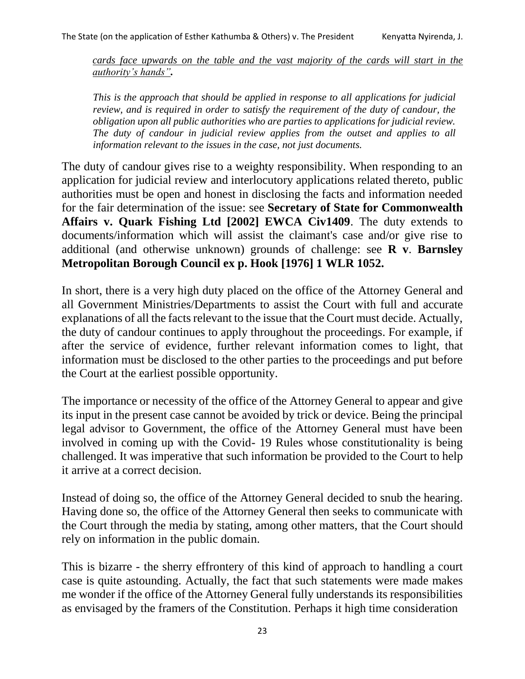*cards face upwards on the table and the vast majority of the cards will start in the authority's hands".* 

*This is the approach that should be applied in response to all applications for judicial review, and is required in order to satisfy the requirement of the duty of candour, the obligation upon all public authorities who are parties to applications for judicial review. The duty of candour in judicial review applies from the outset and applies to all information relevant to the issues in the case, not just documents.* 

The duty of candour gives rise to a weighty responsibility. When responding to an application for judicial review and interlocutory applications related thereto, public authorities must be open and honest in disclosing the facts and information needed for the fair determination of the issue: see **Secretary of State for Commonwealth Affairs v. Quark Fishing Ltd [2002] EWCA Civ1409**. The duty extends to documents/information which will assist the claimant's case and/or give rise to additional (and otherwise unknown) grounds of challenge: see **R v**. **Barnsley Metropolitan Borough Council ex p. Hook [1976] 1 WLR 1052.**

In short, there is a very high duty placed on the office of the Attorney General and all Government Ministries/Departments to assist the Court with full and accurate explanations of all the facts relevant to the issue that the Court must decide. Actually, the duty of candour continues to apply throughout the proceedings. For example, if after the service of evidence, further relevant information comes to light, that information must be disclosed to the other parties to the proceedings and put before the Court at the earliest possible opportunity.

The importance or necessity of the office of the Attorney General to appear and give its input in the present case cannot be avoided by trick or device. Being the principal legal advisor to Government, the office of the Attorney General must have been involved in coming up with the Covid- 19 Rules whose constitutionality is being challenged. It was imperative that such information be provided to the Court to help it arrive at a correct decision.

Instead of doing so, the office of the Attorney General decided to snub the hearing. Having done so, the office of the Attorney General then seeks to communicate with the Court through the media by stating, among other matters, that the Court should rely on information in the public domain.

This is bizarre - the sherry effrontery of this kind of approach to handling a court case is quite astounding. Actually, the fact that such statements were made makes me wonder if the office of the Attorney General fully understands its responsibilities as envisaged by the framers of the Constitution. Perhaps it high time consideration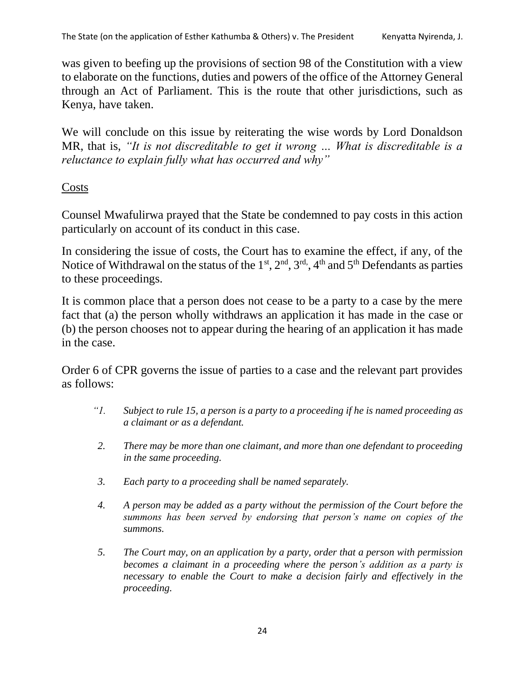was given to beefing up the provisions of section 98 of the Constitution with a view to elaborate on the functions, duties and powers of the office of the Attorney General through an Act of Parliament. This is the route that other jurisdictions, such as Kenya, have taken.

We will conclude on this issue by reiterating the wise words by Lord Donaldson MR, that is, *"It is not discreditable to get it wrong … What is discreditable is a reluctance to explain fully what has occurred and why"*

# **Costs**

Counsel Mwafulirwa prayed that the State be condemned to pay costs in this action particularly on account of its conduct in this case.

In considering the issue of costs, the Court has to examine the effect, if any, of the Notice of Withdrawal on the status of the  $1<sup>st</sup>$ ,  $2<sup>nd</sup>$ ,  $3<sup>rd</sup>$ ,  $4<sup>th</sup>$  and  $5<sup>th</sup>$  Defendants as parties to these proceedings.

It is common place that a person does not cease to be a party to a case by the mere fact that (a) the person wholly withdraws an application it has made in the case or (b) the person chooses not to appear during the hearing of an application it has made in the case.

Order 6 of CPR governs the issue of parties to a case and the relevant part provides as follows:

- *"1. Subject to rule 15, a person is a party to a proceeding if he is named proceeding as a claimant or as a defendant.*
- *2. There may be more than one claimant, and more than one defendant to proceeding in the same proceeding.*
- *3. Each party to a proceeding shall be named separately.*
- *4. A person may be added as a party without the permission of the Court before the summons has been served by endorsing that person's name on copies of the summons.*
- *5. The Court may, on an application by a party, order that a person with permission becomes a claimant in a proceeding where the person's addition as a party is necessary to enable the Court to make a decision fairly and effectively in the proceeding.*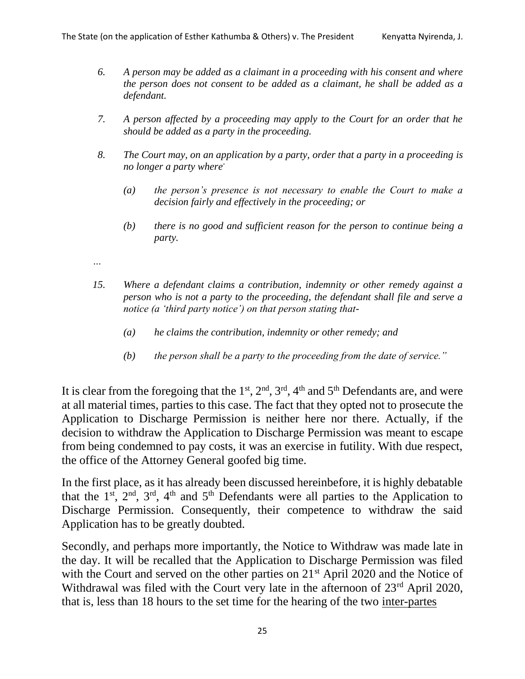- *6. A person may be added as a claimant in a proceeding with his consent and where the person does not consent to be added as a claimant, he shall be added as a defendant.*
- *7. A person affected by a proceeding may apply to the Court for an order that he should be added as a party in the proceeding.*
- *8. The Court may, on an application by a party, order that a party in a proceeding is no longer a party where-*
	- *(a) the person's presence is not necessary to enable the Court to make a decision fairly and effectively in the proceeding; or*
	- *(b) there is no good and sufficient reason for the person to continue being a party.*
- *…*
- *15. Where a defendant claims a contribution, indemnity or other remedy against a person who is not a party to the proceeding, the defendant shall file and serve a notice (a 'third party notice') on that person stating that-*
	- *(a) he claims the contribution, indemnity or other remedy; and*
	- *(b) the person shall be a party to the proceeding from the date of service."*

It is clear from the foregoing that the  $1<sup>st</sup>$ ,  $2<sup>nd</sup>$ ,  $3<sup>rd</sup>$ ,  $4<sup>th</sup>$  and  $5<sup>th</sup>$  Defendants are, and were at all material times, parties to this case. The fact that they opted not to prosecute the Application to Discharge Permission is neither here nor there. Actually, if the decision to withdraw the Application to Discharge Permission was meant to escape from being condemned to pay costs, it was an exercise in futility. With due respect, the office of the Attorney General goofed big time.

In the first place, as it has already been discussed hereinbefore, it is highly debatable that the  $1^{st}$ ,  $2^{nd}$ ,  $3^{rd}$ ,  $4^{th}$  and  $5^{th}$  Defendants were all parties to the Application to Discharge Permission. Consequently, their competence to withdraw the said Application has to be greatly doubted.

Secondly, and perhaps more importantly, the Notice to Withdraw was made late in the day. It will be recalled that the Application to Discharge Permission was filed with the Court and served on the other parties on 21<sup>st</sup> April 2020 and the Notice of Withdrawal was filed with the Court very late in the afternoon of 23<sup>rd</sup> April 2020, that is, less than 18 hours to the set time for the hearing of the two inter-partes